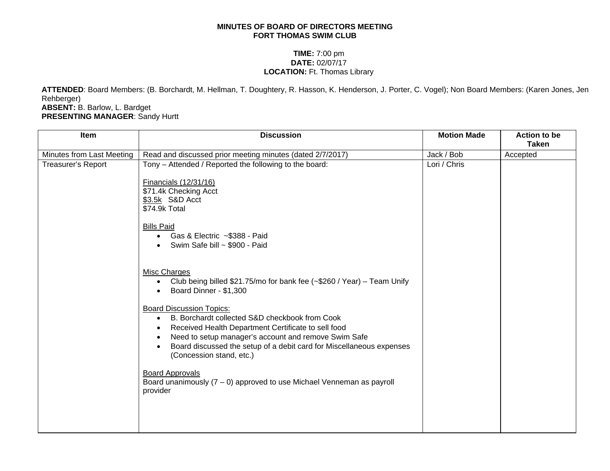## **MINUTES OF BOARD OF DIRECTORS MEETING FORT THOMAS SWIM CLUB**

## **TIME:** 7:00 pm **DATE:** 02/07/17 **LOCATION:** Ft. Thomas Library

**ATTENDED**: Board Members: (B. Borchardt, M. Hellman, T. Doughtery, R. Hasson, K. Henderson, J. Porter, C. Vogel); Non Board Members: (Karen Jones, Jen Rehberger)

**ABSENT:** B. Barlow, L. Bardget **PRESENTING MANAGER**: Sandy Hurtt

|                           |                                                                                                                                                                                                                                                                                                                                                                                                                                                                                                                                                                                                                                                                                                                                                                                                                                                                            |              | <b>Taken</b> |
|---------------------------|----------------------------------------------------------------------------------------------------------------------------------------------------------------------------------------------------------------------------------------------------------------------------------------------------------------------------------------------------------------------------------------------------------------------------------------------------------------------------------------------------------------------------------------------------------------------------------------------------------------------------------------------------------------------------------------------------------------------------------------------------------------------------------------------------------------------------------------------------------------------------|--------------|--------------|
| Minutes from Last Meeting | Read and discussed prior meeting minutes (dated 2/7/2017)                                                                                                                                                                                                                                                                                                                                                                                                                                                                                                                                                                                                                                                                                                                                                                                                                  | Jack / Bob   | Accepted     |
| Treasurer's Report        | Tony - Attended / Reported the following to the board:<br>Financials (12/31/16)<br>\$71.4k Checking Acct<br>\$3.5k S&D Acct<br>\$74.9k Total<br><b>Bills Paid</b><br>Gas & Electric ~\$388 - Paid<br>$\bullet$<br>Swim Safe bill ~ \$900 - Paid<br>Misc Charges<br>Club being billed \$21.75/mo for bank fee (~\$260 / Year) – Team Unify<br>$\bullet$<br>Board Dinner - \$1,300<br>$\bullet$<br><b>Board Discussion Topics:</b><br>B. Borchardt collected S&D checkbook from Cook<br>$\bullet$<br>Received Health Department Certificate to sell food<br>$\bullet$<br>Need to setup manager's account and remove Swim Safe<br>$\bullet$<br>Board discussed the setup of a debit card for Miscellaneous expenses<br>$\bullet$<br>(Concession stand, etc.)<br><b>Board Approvals</b><br>Board unanimously $(7 - 0)$ approved to use Michael Venneman as payroll<br>provider | Lori / Chris |              |
|                           |                                                                                                                                                                                                                                                                                                                                                                                                                                                                                                                                                                                                                                                                                                                                                                                                                                                                            |              |              |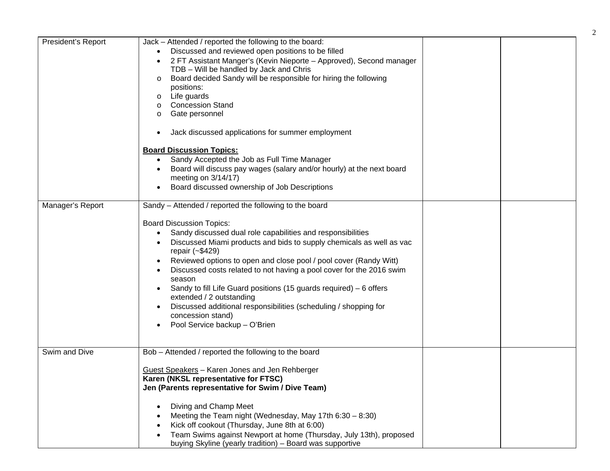| President's Report | Jack - Attended / reported the following to the board:<br>Discussed and reviewed open positions to be filled<br>2 FT Assistant Manger's (Kevin Nieporte - Approved), Second manager<br>TDB - Will be handled by Jack and Chris<br>Board decided Sandy will be responsible for hiring the following<br>$\circ$<br>positions:<br>Life guards<br>$\circ$<br><b>Concession Stand</b><br>$\circ$<br>Gate personnel<br>$\circ$                                                                                                                                                                                                                |  |
|--------------------|-----------------------------------------------------------------------------------------------------------------------------------------------------------------------------------------------------------------------------------------------------------------------------------------------------------------------------------------------------------------------------------------------------------------------------------------------------------------------------------------------------------------------------------------------------------------------------------------------------------------------------------------|--|
|                    | Jack discussed applications for summer employment<br><b>Board Discussion Topics:</b><br>Sandy Accepted the Job as Full Time Manager<br>Board will discuss pay wages (salary and/or hourly) at the next board<br>meeting on 3/14/17)<br>Board discussed ownership of Job Descriptions                                                                                                                                                                                                                                                                                                                                                    |  |
| Manager's Report   | Sandy - Attended / reported the following to the board<br><b>Board Discussion Topics:</b><br>Sandy discussed dual role capabilities and responsibilities<br>Discussed Miami products and bids to supply chemicals as well as vac<br>repair (~\$429)<br>Reviewed options to open and close pool / pool cover (Randy Witt)<br>Discussed costs related to not having a pool cover for the 2016 swim<br>season<br>Sandy to fill Life Guard positions (15 guards required) $-6$ offers<br>extended / 2 outstanding<br>Discussed additional responsibilities (scheduling / shopping for<br>concession stand)<br>Pool Service backup - O'Brien |  |
| Swim and Dive      | Bob - Attended / reported the following to the board<br>Guest Speakers - Karen Jones and Jen Rehberger<br>Karen (NKSL representative for FTSC)<br>Jen (Parents representative for Swim / Dive Team)<br>Diving and Champ Meet<br>Meeting the Team night (Wednesday, May 17th $6:30 - 8:30$ )<br>Kick off cookout (Thursday, June 8th at 6:00)<br>Team Swims against Newport at home (Thursday, July 13th), proposed<br>buying Skyline (yearly tradition) - Board was supportive                                                                                                                                                          |  |